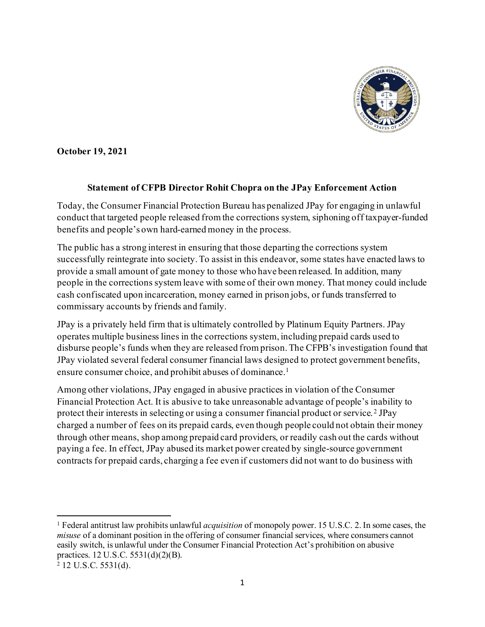

**October 19, 2021**

## **Statement of CFPB Director Rohit Chopra on the JPay Enforcement Action**

Today, the Consumer Financial Protection Bureau has penalized JPay for engaging in unlawful conduct that targeted people released from the corrections system, siphoning off taxpayer-funded benefits and people's own hard-earned money in the process.

The public has a strong interest in ensuring that those departing the corrections system successfully reintegrate into society. To assist in this endeavor, some states have enacted laws to provide a small amount of gate money to those who have been released. In addition, many people in the corrections system leave with some of their own money. That money could include cash confiscated upon incarceration, money earned in prison jobs, or funds transferred to commissary accounts by friends and family.

JPay is a privately held firm that is ultimately controlled by Platinum Equity Partners. JPay operates multiple business lines in the corrections system, including prepaid cards used to disburse people's funds when they are released from prison. The CFPB's investigation found that JPay violated several federal consumer financial laws designed to protect government benefits, ensure consumer choice, and prohibit abuses of dominance. [1](#page-0-0)

Among other violations, JPay engaged in abusive practices in violation of the Consumer Financial Protection Act. It is abusive to take unreasonable advantage of people's inability to protect their interests in selecting or using a consumer financial product or service. [2](#page-0-1) JPay charged a number of fees on its prepaid cards, even though people could not obtain their money through other means, shop among prepaid card providers, or readily cash out the cards without paying a fee. In effect, JPay abused its market power created by single-source government contracts for prepaid cards, charging a fee even if customers did not want to do business with

<span id="page-0-1"></span><span id="page-0-0"></span><sup>1</sup> Federal antitrust law prohibits unlawful *acquisition* of monopoly power. 15 U.S.C. 2. In some cases, the *misuse* of a dominant position in the offering of consumer financial services, where consumers cannot easily switch, is unlawful under the Consumer Financial Protection Act's prohibition on abusive practices. 12 U.S.C. 5531(d)(2)(B).

<sup>2</sup> 12 U.S.C. 5531(d).